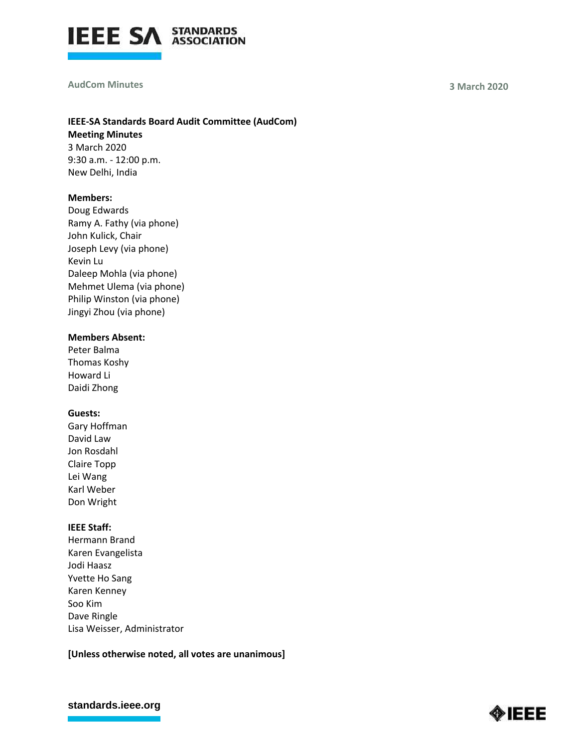

#### **AudCom Minutes 3 March 2020**

# **IEEE-SA Standards Board Audit Committee (AudCom)**

**Meeting Minutes** 3 March 2020 9:30 a.m. - 12:00 p.m. New Delhi, India

### **Members:**

Doug Edwards Ramy A. Fathy (via phone) John Kulick, Chair Joseph Levy (via phone) Kevin Lu Daleep Mohla (via phone) Mehmet Ulema (via phone) Philip Winston (via phone) Jingyi Zhou (via phone)

# **Members Absent:**

Peter Balma Thomas Koshy Howard Li Daidi Zhong

### **Guests:**

Gary Hoffman David Law Jon Rosdahl Claire Topp Lei Wang Karl Weber Don Wright

### **IEEE Staff:**

Hermann Brand Karen Evangelista Jodi Haasz Yvette Ho Sang Karen Kenney Soo Kim Dave Ringle Lisa Weisser, Administrator

# **[Unless otherwise noted, all votes are unanimous]**

### **[standards.ieee.org](http://standards.ieee.org/)**

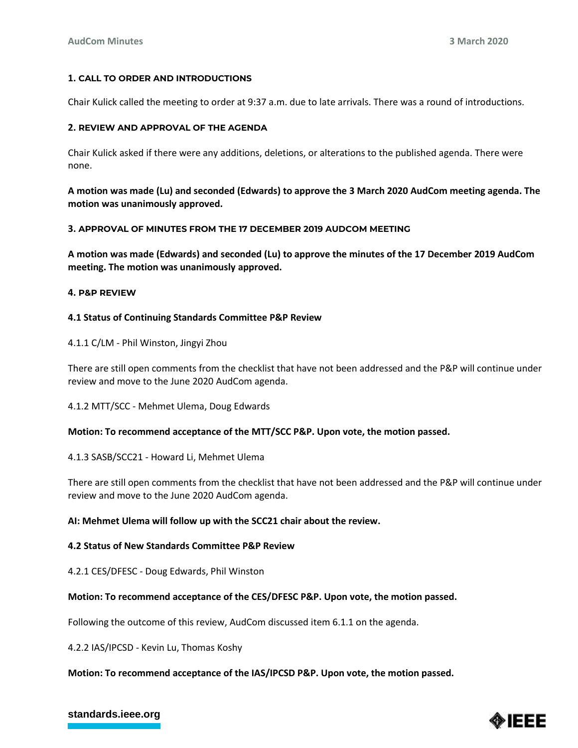### **1. CALL TO ORDER AND INTRODUCTIONS**

Chair Kulick called the meeting to order at 9:37 a.m. due to late arrivals. There was a round of introductions.

### **2. REVIEW AND APPROVAL OF THE AGENDA**

Chair Kulick asked if there were any additions, deletions, or alterations to the published agenda. There were none.

**A motion was made (Lu) and seconded (Edwards) to approve the 3 March 2020 AudCom meeting agenda. The motion was unanimously approved.**

#### **3. APPROVAL OF MINUTES FROM THE 17 DECEMBER 2019 AUDCOM MEETING**

**A motion was made (Edwards) and seconded (Lu) to approve the minutes of the 17 December 2019 AudCom meeting. The motion was unanimously approved.**

#### **4. P&P REVIEW**

### **4.1 Status of Continuing Standards Committee P&P Review**

4.1.1 C/LM - Phil Winston, Jingyi Zhou

There are still open comments from the checklist that have not been addressed and the P&P will continue under review and move to the June 2020 AudCom agenda.

4.1.2 MTT/SCC - Mehmet Ulema, Doug Edwards

### **Motion: To recommend acceptance of the MTT/SCC P&P. Upon vote, the motion passed.**

4.1.3 SASB/SCC21 - Howard Li, Mehmet Ulema

There are still open comments from the checklist that have not been addressed and the P&P will continue under review and move to the June 2020 AudCom agenda.

### **AI: Mehmet Ulema will follow up with the SCC21 chair about the review.**

#### **4.2 Status of New Standards Committee P&P Review**

4.2.1 CES/DFESC - Doug Edwards, Phil Winston

#### **Motion: To recommend acceptance of the CES/DFESC P&P. Upon vote, the motion passed.**

Following the outcome of this review, AudCom discussed item 6.1.1 on the agenda.

4.2.2 IAS/IPCSD - Kevin Lu, Thomas Koshy

### **Motion: To recommend acceptance of the IAS/IPCSD P&P. Upon vote, the motion passed.**

# **[standards.ieee.org](http://standards.ieee.org/)**

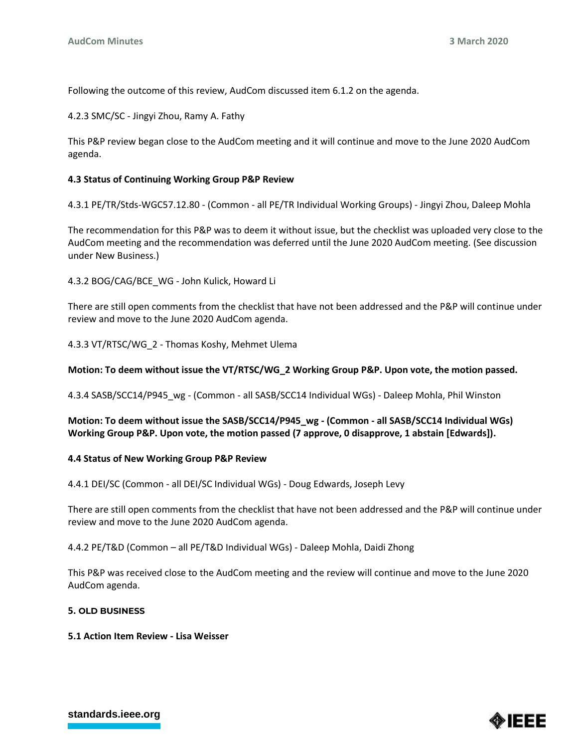Following the outcome of this review, AudCom discussed item 6.1.2 on the agenda.

4.2.3 SMC/SC - Jingyi Zhou, Ramy A. Fathy

This P&P review began close to the AudCom meeting and it will continue and move to the June 2020 AudCom agenda.

### **4.3 Status of Continuing Working Group P&P Review**

4.3.1 PE/TR/Stds-WGC57.12.80 - (Common - all PE/TR Individual Working Groups) - Jingyi Zhou, Daleep Mohla

The recommendation for this P&P was to deem it without issue, but the checklist was uploaded very close to the AudCom meeting and the recommendation was deferred until the June 2020 AudCom meeting. (See discussion under New Business.)

4.3.2 BOG/CAG/BCE\_WG - John Kulick, Howard Li

There are still open comments from the checklist that have not been addressed and the P&P will continue under review and move to the June 2020 AudCom agenda.

4.3.3 VT/RTSC/WG\_2 - Thomas Koshy, Mehmet Ulema

### **Motion: To deem without issue the VT/RTSC/WG\_2 Working Group P&P. Upon vote, the motion passed.**

4.3.4 SASB/SCC14/P945\_wg - (Common - all SASB/SCC14 Individual WGs) - Daleep Mohla, Phil Winston

**Motion: To deem without issue the SASB/SCC14/P945\_wg - (Common - all SASB/SCC14 Individual WGs) Working Group P&P. Upon vote, the motion passed (7 approve, 0 disapprove, 1 abstain [Edwards]).**

### **4.4 Status of New Working Group P&P Review**

4.4.1 DEI/SC (Common - all DEI/SC Individual WGs) - Doug Edwards, Joseph Levy

There are still open comments from the checklist that have not been addressed and the P&P will continue under review and move to the June 2020 AudCom agenda.

4.4.2 PE/T&D (Common – all PE/T&D Individual WGs) - Daleep Mohla, Daidi Zhong

This P&P was received close to the AudCom meeting and the review will continue and move to the June 2020 AudCom agenda.

### **5. OLD BUSINESS**

### **5.1 Action Item Review - Lisa Weisser**



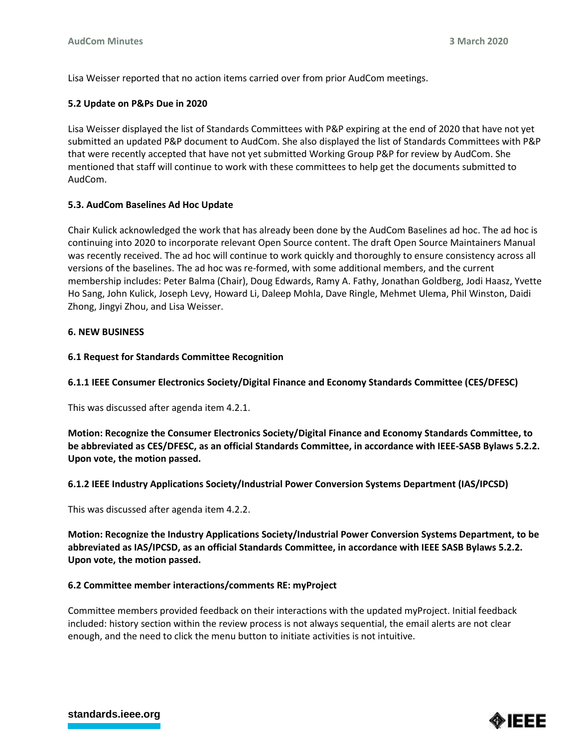Lisa Weisser reported that no action items carried over from prior AudCom meetings.

# **5.2 Update on P&Ps Due in 2020**

Lisa Weisser displayed the list of Standards Committees with P&P expiring at the end of 2020 that have not yet submitted an updated P&P document to AudCom. She also displayed the list of Standards Committees with P&P that were recently accepted that have not yet submitted Working Group P&P for review by AudCom. She mentioned that staff will continue to work with these committees to help get the documents submitted to AudCom.

# **5.3. AudCom Baselines Ad Hoc Update**

Chair Kulick acknowledged the work that has already been done by the AudCom Baselines ad hoc. The ad hoc is continuing into 2020 to incorporate relevant Open Source content. The draft Open Source Maintainers Manual was recently received. The ad hoc will continue to work quickly and thoroughly to ensure consistency across all versions of the baselines. The ad hoc was re-formed, with some additional members, and the current membership includes: Peter Balma (Chair), Doug Edwards, Ramy A. Fathy, Jonathan Goldberg, Jodi Haasz, Yvette Ho Sang, John Kulick, Joseph Levy, Howard Li, Daleep Mohla, Dave Ringle, Mehmet Ulema, Phil Winston, Daidi Zhong, Jingyi Zhou, and Lisa Weisser.

# **6. NEW BUSINESS**

# **6.1 Request for Standards Committee Recognition**

**6.1.1 IEEE Consumer Electronics Society/Digital Finance and Economy Standards Committee (CES/DFESC)**

This was discussed after agenda item 4.2.1.

**Motion: Recognize the Consumer Electronics Society/Digital Finance and Economy Standards Committee, to be abbreviated as CES/DFESC, as an official Standards Committee, in accordance with IEEE-SASB Bylaws 5.2.2. Upon vote, the motion passed.**

# **6.1.2 IEEE Industry Applications Society/Industrial Power Conversion Systems Department (IAS/IPCSD)**

This was discussed after agenda item 4.2.2.

**Motion: Recognize the Industry Applications Society/Industrial Power Conversion Systems Department, to be abbreviated as IAS/IPCSD, as an official Standards Committee, in accordance with IEEE SASB Bylaws 5.2.2. Upon vote, the motion passed.**

### **6.2 Committee member interactions/comments RE: myProject**

Committee members provided feedback on their interactions with the updated myProject. Initial feedback included: history section within the review process is not always sequential, the email alerts are not clear enough, and the need to click the menu button to initiate activities is not intuitive.